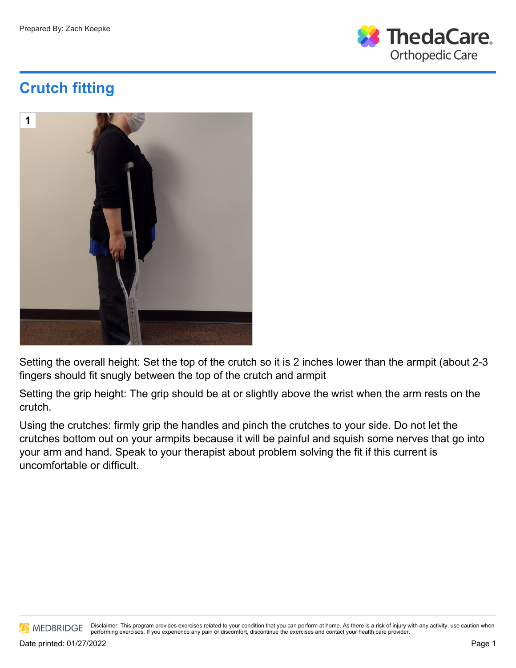

## **Crutch fitting**



Setting the overall height: Set the top of the crutch so it is 2 inches lower than the armpit (about 2-3 fingers should fit snugly between the top of the crutch and armpit

Setting the grip height: The grip should be at or slightly above the wrist when the arm rests on the crutch.

Using the crutches: firmly grip the handles and pinch the crutches to your side. Do not let the crutches bottom out on your armpits because it will be painful and squish some nerves that go into your arm and hand. Speak to your therapist about problem solving the fit if this current is uncomfortable or difficult.

**AN MEDBRIDGE** 

Disclaimer: This program provides exercises related to your condition that you can perform at home. As there is a risk of injury with any activity, use caution when performing exercises. If you experience any pain or discomfort, discontinue the exercises and contact your health care provider.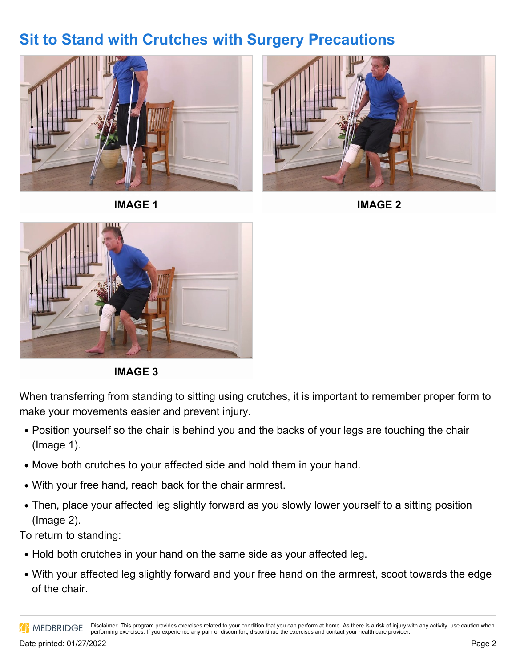## **Sit to Stand with Crutches with Surgery Precautions**



**IMAGE 1**



**IMAGE 2**



**IMAGE 3**

When transferring from standing to sitting using crutches, it is important to remember proper form to make your movements easier and prevent injury.

- Position yourself so the chair is behind you and the backs of your legs are touching the chair (Image 1).
- Move both crutches to your affected side and hold them in your hand.
- With your free hand, reach back for the chair armrest.
- Then, place your affected leg slightly forward as you slowly lower yourself to a sitting position (Image 2).

To return to standing:

- Hold both crutches in your hand on the same side as your affected leg.
- With your affected leg slightly forward and your free hand on the armrest, scoot towards the edge of the chair.

Disclaimer: This program provides exercises related to your condition that you can perform at home. As there is a risk of injury with any activity, use caution when **AN MEDBRIDGE** performing exercises. If you experience any pain or discomfort, discontinue the exercises and contact your health care provider.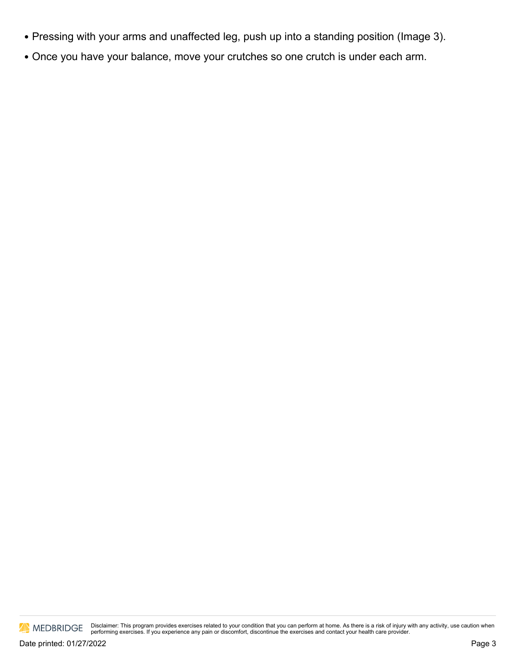- Pressing with your arms and unaffected leg, push up into a standing position (Image 3).
- Once you have your balance, move your crutches so one crutch is under each arm.

MEDBRIDGE

Disclaimer: This program provides exercises related to your condition that you can perform at home. As there is a risk of injury with any activity, use caution when<br>performing exercises. If you experience any pain or disco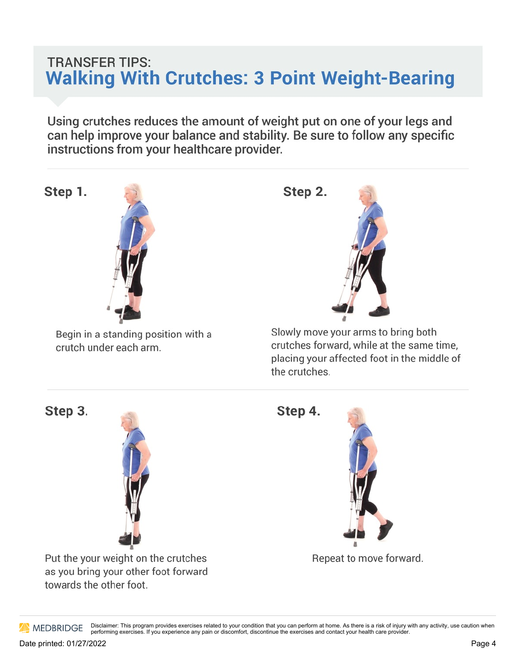## **TRANSFER TIPS: Walking With Crutches: 3 Point Weight-Bearing**

Using crutches reduces the amount of weight put on one of your legs and can help improve your balance and stability. Be sure to follow any specific instructions from your healthcare provider.



Slowly move your arms to bring both crutches forward, while at the same time, placing your affected foot in the middle of the crutches.

Step 3.



crutch under each arm.

Put the your weight on the crutches as you bring your other foot forward towards the other foot.

Step 4.



Repeat to move forward.

Disclaimer: This program provides exercises related to your condition that you can perform at home. As there is a risk of injury with any activity, use caution when **AN MEDBRIDGE** performing exercises. If you experience any pain or discomfort, discontinue the exercises and contact your health care provider.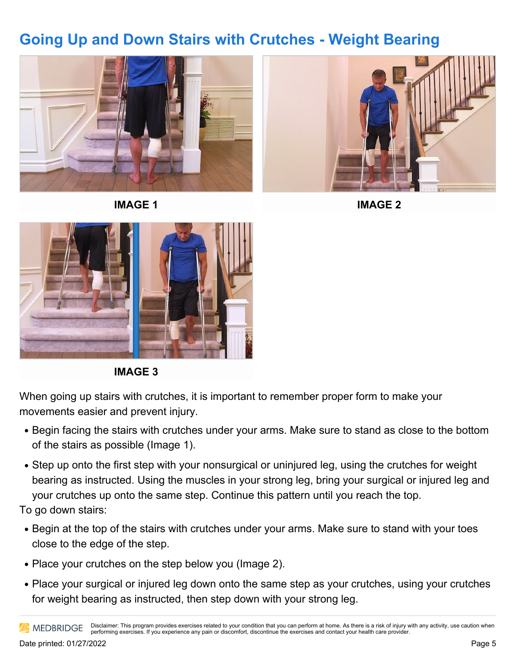## **Going Up and Down Stairs with Crutches - Weight Bearing**





**IMAGE 1**





**IMAGE 3**

When going up stairs with crutches, it is important to remember proper form to make your movements easier and prevent injury.

- Begin facing the stairs with crutches under your arms. Make sure to stand as close to the bottom of the stairs as possible (Image 1).
- Step up onto the first step with your nonsurgical or uninjured leg, using the crutches for weight bearing as instructed. Using the muscles in your strong leg, bring your surgical or injured leg and your crutches up onto the same step. Continue this pattern until you reach the top.

To go down stairs:

- Begin at the top of the stairs with crutches under your arms. Make sure to stand with your toes close to the edge of the step.
- Place your crutches on the step below you (Image 2).
- Place your surgical or injured leg down onto the same step as your crutches, using your crutches for weight bearing as instructed, then step down with your strong leg.

Disclaimer: This program provides exercises related to your condition that you can perform at home. As there is a risk of injury with any activity, use caution when **AN MEDBRIDGE** performing exercises. If you experience any pain or discomfort, discontinue the exercises and contact your health care provider.